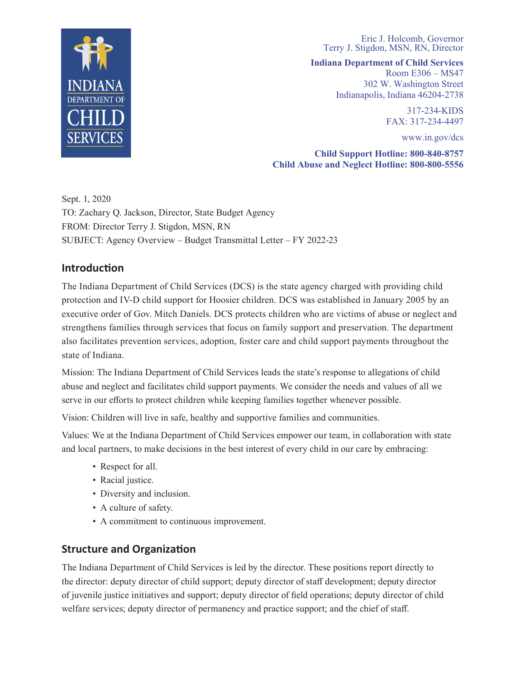

Eric J. Holcomb, Governor Terry J. Stigdon, MSN, RN, Director

**Indiana Department of Child Services**

Room E306 – MS47 302 W. Washington Street Indianapolis, Indiana 46204-2738

> 317-234-KIDS FAX: 317-234-4497

> > www.in.gov/dcs

**Child Support Hotline: 800-840-8757 Child Abuse and Neglect Hotline: 800-800-5556**

Sept. 1, 2020 FROM: Director Terry J. Stigdon, MSN, RN TO: Zachary Q. Jackson, Director, State Budget Agency SUBJECT: Agency Overview – Budget Transmittal Letter – FY 2022-23

# **Introduction**

The Indiana Department of Child Services (DCS) is the state agency charged with providing child protection and IV-D child support for Hoosier children. DCS was established in January 2005 by an executive order of Gov. Mitch Daniels. DCS protects children who are victims of abuse or neglect and strengthens families through services that focus on family support and preservation. The department also facilitates prevention services, adoption, foster care and child support payments throughout the state of Indiana.

Mission: The Indiana Department of Child Services leads the state's response to allegations of child abuse and neglect and facilitates child support payments. We consider the needs and values of all we serve in our efforts to protect children while keeping families together whenever possible.

Vision: Children will live in safe, healthy and supportive families and communities.

Values: We at the Indiana Department of Child Services empower our team, in collaboration with state and local partners, to make decisions in the best interest of every child in our care by embracing:

- Respect for all.
- Racial justice.
- Diversity and inclusion.
- A culture of safety.
- Sincerely, • A commitment to continuous improvement.

# **Structure and Organization**

The Indiana Department of Child Services is led by the director. These positions report directly to the director: deputy director of child support; deputy director of staff development; deputy director of juvenile justice initiatives and support; deputy director of field operations; deputy director of child welfare services; deputy director of permanency and practice support; and the chief of staff.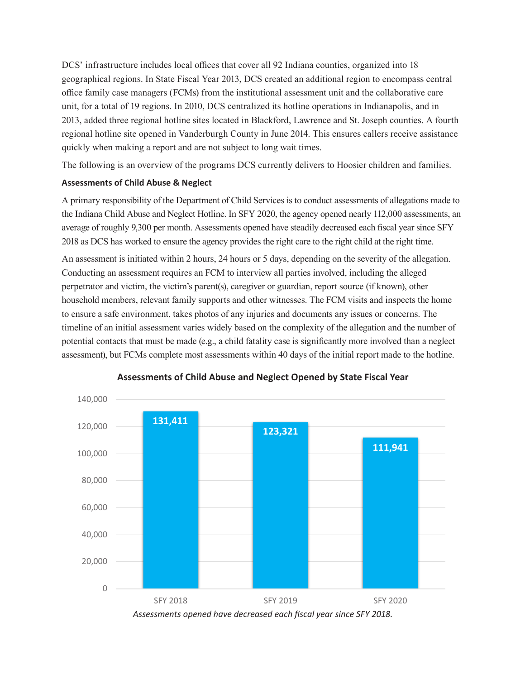DCS' infrastructure includes local offices that cover all 92 Indiana counties, organized into 18 geographical regions. In State Fiscal Year 2013, DCS created an additional region to encompass central office family case managers (FCMs) from the institutional assessment unit and the collaborative care unit, for a total of 19 regions. In 2010, DCS centralized its hotline operations in Indianapolis, and in 2013, added three regional hotline sites located in Blackford, Lawrence and St. Joseph counties. A fourth regional hotline site opened in Vanderburgh County in June 2014. This ensures callers receive assistance quickly when making a report and are not subject to long wait times.

The following is an overview of the programs DCS currently delivers to Hoosier children and families.

## **Assessments of Child Abuse & Neglect**

A primary responsibility of the Department of Child Services is to conduct assessments of allegations made to the Indiana Child Abuse and Neglect Hotline. In SFY 2020, the agency opened nearly 112,000 assessments, an average of roughly 9,300 per month. Assessments opened have steadily decreased each fiscal year since SFY 2018 as DCS has worked to ensure the agency provides the right care to the right child at the right time.

An assessment is initiated within 2 hours, 24 hours or 5 days, depending on the severity of the allegation. Conducting an assessment requires an FCM to interview all parties involved, including the alleged perpetrator and victim, the victim's parent(s), caregiver or guardian, report source (if known), other household members, relevant family supports and other witnesses. The FCM visits and inspects the home to ensure a safe environment, takes photos of any injuries and documents any issues or concerns. The timeline of an initial assessment varies widely based on the complexity of the allegation and the number of potential contacts that must be made (e.g., a child fatality case is significantly more involved than a neglect assessment), but FCMs complete most assessments within 40 days of the initial report made to the hotline.



**Assessments of Child Abuse and Neglect Opened by State Fiscal Year**

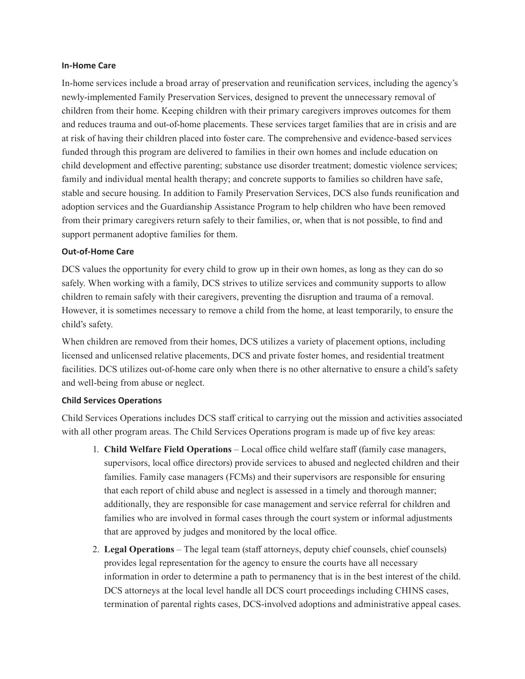#### **In-Home Care**

In-home services include a broad array of preservation and reunification services, including the agency's newly-implemented Family Preservation Services, designed to prevent the unnecessary removal of children from their home. Keeping children with their primary caregivers improves outcomes for them and reduces trauma and out-of-home placements. These services target families that are in crisis and are at risk of having their children placed into foster care. The comprehensive and evidence-based services funded through this program are delivered to families in their own homes and include education on child development and effective parenting; substance use disorder treatment; domestic violence services; family and individual mental health therapy; and concrete supports to families so children have safe, stable and secure housing. In addition to Family Preservation Services, DCS also funds reunification and adoption services and the Guardianship Assistance Program to help children who have been removed from their primary caregivers return safely to their families, or, when that is not possible, to find and support permanent adoptive families for them.

#### **Out-of-Home Care**

DCS values the opportunity for every child to grow up in their own homes, as long as they can do so safely. When working with a family, DCS strives to utilize services and community supports to allow children to remain safely with their caregivers, preventing the disruption and trauma of a removal. However, it is sometimes necessary to remove a child from the home, at least temporarily, to ensure the child's safety.

When children are removed from their homes, DCS utilizes a variety of placement options, including licensed and unlicensed relative placements, DCS and private foster homes, and residential treatment facilities. DCS utilizes out-of-home care only when there is no other alternative to ensure a child's safety and well-being from abuse or neglect.

## **Child Services Operations**

Child Services Operations includes DCS staff critical to carrying out the mission and activities associated with all other program areas. The Child Services Operations program is made up of five key areas:

- 1. **Child Welfare Field Operations** Local office child welfare staff (family case managers, supervisors, local office directors) provide services to abused and neglected children and their families. Family case managers (FCMs) and their supervisors are responsible for ensuring that each report of child abuse and neglect is assessed in a timely and thorough manner; additionally, they are responsible for case management and service referral for children and families who are involved in formal cases through the court system or informal adjustments that are approved by judges and monitored by the local office.
- 2. **Legal Operations** The legal team (staff attorneys, deputy chief counsels, chief counsels) provides legal representation for the agency to ensure the courts have all necessary information in order to determine a path to permanency that is in the best interest of the child. DCS attorneys at the local level handle all DCS court proceedings including CHINS cases, termination of parental rights cases, DCS-involved adoptions and administrative appeal cases.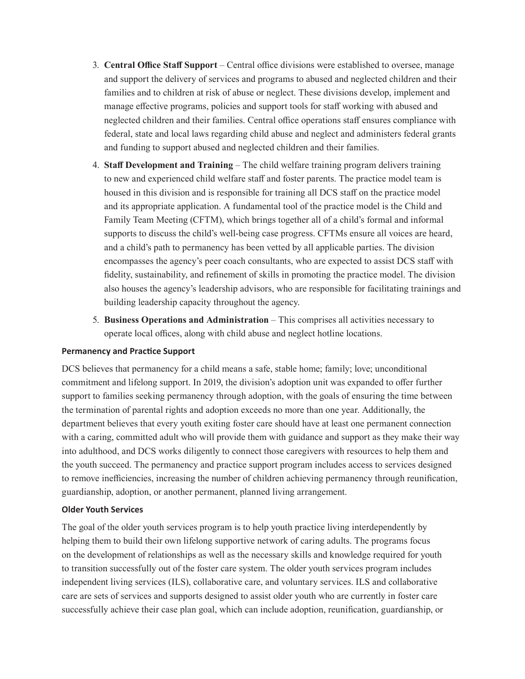- 3. **Central Office Staff Support** Central office divisions were established to oversee, manage and support the delivery of services and programs to abused and neglected children and their families and to children at risk of abuse or neglect. These divisions develop, implement and manage effective programs, policies and support tools for staff working with abused and neglected children and their families. Central office operations staff ensures compliance with federal, state and local laws regarding child abuse and neglect and administers federal grants and funding to support abused and neglected children and their families.
- 4. **Staff Development and Training** The child welfare training program delivers training to new and experienced child welfare staff and foster parents. The practice model team is housed in this division and is responsible for training all DCS staff on the practice model and its appropriate application. A fundamental tool of the practice model is the Child and Family Team Meeting (CFTM), which brings together all of a child's formal and informal supports to discuss the child's well-being case progress. CFTMs ensure all voices are heard, and a child's path to permanency has been vetted by all applicable parties. The division encompasses the agency's peer coach consultants, who are expected to assist DCS staff with fidelity, sustainability, and refinement of skills in promoting the practice model. The division also houses the agency's leadership advisors, who are responsible for facilitating trainings and building leadership capacity throughout the agency.
- 5. **Business Operations and Administration** This comprises all activities necessary to operate local offices, along with child abuse and neglect hotline locations.

#### **Permanency and Practice Support**

DCS believes that permanency for a child means a safe, stable home; family; love; unconditional commitment and lifelong support. In 2019, the division's adoption unit was expanded to offer further support to families seeking permanency through adoption, with the goals of ensuring the time between the termination of parental rights and adoption exceeds no more than one year. Additionally, the department believes that every youth exiting foster care should have at least one permanent connection with a caring, committed adult who will provide them with guidance and support as they make their way into adulthood, and DCS works diligently to connect those caregivers with resources to help them and the youth succeed. The permanency and practice support program includes access to services designed to remove inefficiencies, increasing the number of children achieving permanency through reunification, guardianship, adoption, or another permanent, planned living arrangement.

## **Older Youth Services**

The goal of the older youth services program is to help youth practice living interdependently by helping them to build their own lifelong supportive network of caring adults. The programs focus on the development of relationships as well as the necessary skills and knowledge required for youth to transition successfully out of the foster care system. The older youth services program includes independent living services (ILS), collaborative care, and voluntary services. ILS and collaborative care are sets of services and supports designed to assist older youth who are currently in foster care successfully achieve their case plan goal, which can include adoption, reunification, guardianship, or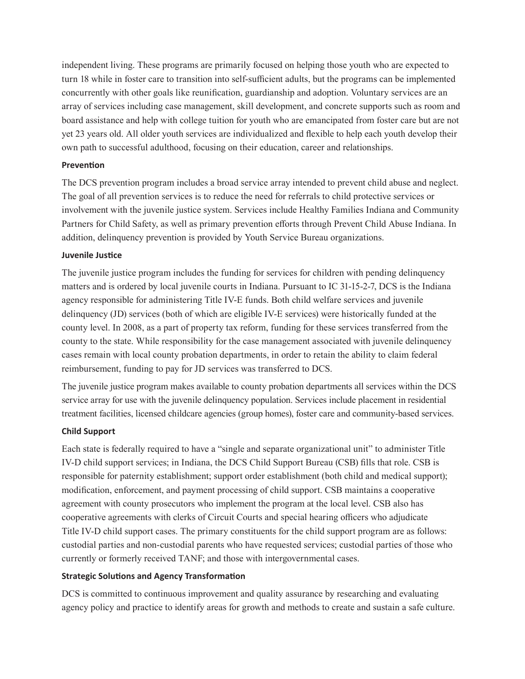independent living. These programs are primarily focused on helping those youth who are expected to turn 18 while in foster care to transition into self-sufficient adults, but the programs can be implemented concurrently with other goals like reunification, guardianship and adoption. Voluntary services are an array of services including case management, skill development, and concrete supports such as room and board assistance and help with college tuition for youth who are emancipated from foster care but are not yet 23 years old. All older youth services are individualized and flexible to help each youth develop their own path to successful adulthood, focusing on their education, career and relationships.

#### **Prevention**

The DCS prevention program includes a broad service array intended to prevent child abuse and neglect. The goal of all prevention services is to reduce the need for referrals to child protective services or involvement with the juvenile justice system. Services include Healthy Families Indiana and Community Partners for Child Safety, as well as primary prevention efforts through Prevent Child Abuse Indiana. In addition, delinquency prevention is provided by Youth Service Bureau organizations.

#### **Juvenile Justice**

The juvenile justice program includes the funding for services for children with pending delinquency matters and is ordered by local juvenile courts in Indiana. Pursuant to IC 31-15-2-7, DCS is the Indiana agency responsible for administering Title IV-E funds. Both child welfare services and juvenile delinquency (JD) services (both of which are eligible IV-E services) were historically funded at the county level. In 2008, as a part of property tax reform, funding for these services transferred from the county to the state. While responsibility for the case management associated with juvenile delinquency cases remain with local county probation departments, in order to retain the ability to claim federal reimbursement, funding to pay for JD services was transferred to DCS.

The juvenile justice program makes available to county probation departments all services within the DCS service array for use with the juvenile delinquency population. Services include placement in residential treatment facilities, licensed childcare agencies (group homes), foster care and community-based services.

## **Child Support**

Each state is federally required to have a "single and separate organizational unit" to administer Title IV-D child support services; in Indiana, the DCS Child Support Bureau (CSB) fills that role. CSB is responsible for paternity establishment; support order establishment (both child and medical support); modification, enforcement, and payment processing of child support. CSB maintains a cooperative agreement with county prosecutors who implement the program at the local level. CSB also has cooperative agreements with clerks of Circuit Courts and special hearing officers who adjudicate Title IV-D child support cases. The primary constituents for the child support program are as follows: custodial parties and non-custodial parents who have requested services; custodial parties of those who currently or formerly received TANF; and those with intergovernmental cases.

## **Strategic Solutions and Agency Transformation**

DCS is committed to continuous improvement and quality assurance by researching and evaluating agency policy and practice to identify areas for growth and methods to create and sustain a safe culture.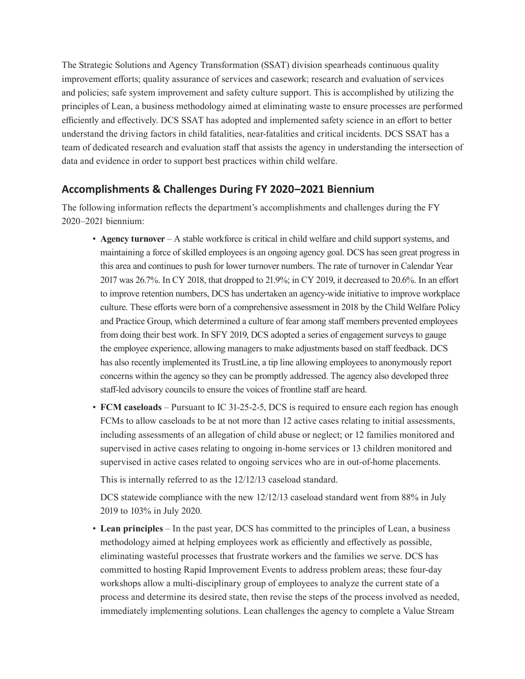The Strategic Solutions and Agency Transformation (SSAT) division spearheads continuous quality improvement efforts; quality assurance of services and casework; research and evaluation of services and policies; safe system improvement and safety culture support. This is accomplished by utilizing the principles of Lean, a business methodology aimed at eliminating waste to ensure processes are performed efficiently and effectively. DCS SSAT has adopted and implemented safety science in an effort to better understand the driving factors in child fatalities, near-fatalities and critical incidents. DCS SSAT has a team of dedicated research and evaluation staff that assists the agency in understanding the intersection of data and evidence in order to support best practices within child welfare.

# **Accomplishments & Challenges During FY 2020–2021 Biennium**

The following information reflects the department's accomplishments and challenges during the FY 2020–2021 biennium:

- **Agency turnover** A stable workforce is critical in child welfare and child support systems, and maintaining a force of skilled employees is an ongoing agency goal. DCS has seen great progress in this area and continues to push for lower turnover numbers. The rate of turnover in Calendar Year 2017 was 26.7%. In CY 2018, that dropped to 21.9%; in CY 2019, it decreased to 20.6%. In an effort to improve retention numbers, DCS has undertaken an agency-wide initiative to improve workplace culture. These efforts were born of a comprehensive assessment in 2018 by the Child Welfare Policy and Practice Group, which determined a culture of fear among staff members prevented employees from doing their best work. In SFY 2019, DCS adopted a series of engagement surveys to gauge the employee experience, allowing managers to make adjustments based on staff feedback. DCS has also recently implemented its TrustLine, a tip line allowing employees to anonymously report concerns within the agency so they can be promptly addressed. The agency also developed three staff-led advisory councils to ensure the voices of frontline staff are heard.
- **FCM caseloads** Pursuant to IC 31-25-2-5, DCS is required to ensure each region has enough FCMs to allow caseloads to be at not more than 12 active cases relating to initial assessments, including assessments of an allegation of child abuse or neglect; or 12 families monitored and supervised in active cases relating to ongoing in-home services or 13 children monitored and supervised in active cases related to ongoing services who are in out-of-home placements.

This is internally referred to as the 12/12/13 caseload standard.

DCS statewide compliance with the new 12/12/13 caseload standard went from 88% in July 2019 to 103% in July 2020.

• **Lean principles** – In the past year, DCS has committed to the principles of Lean, a business methodology aimed at helping employees work as efficiently and effectively as possible, eliminating wasteful processes that frustrate workers and the families we serve. DCS has committed to hosting Rapid Improvement Events to address problem areas; these four-day workshops allow a multi-disciplinary group of employees to analyze the current state of a process and determine its desired state, then revise the steps of the process involved as needed, immediately implementing solutions. Lean challenges the agency to complete a Value Stream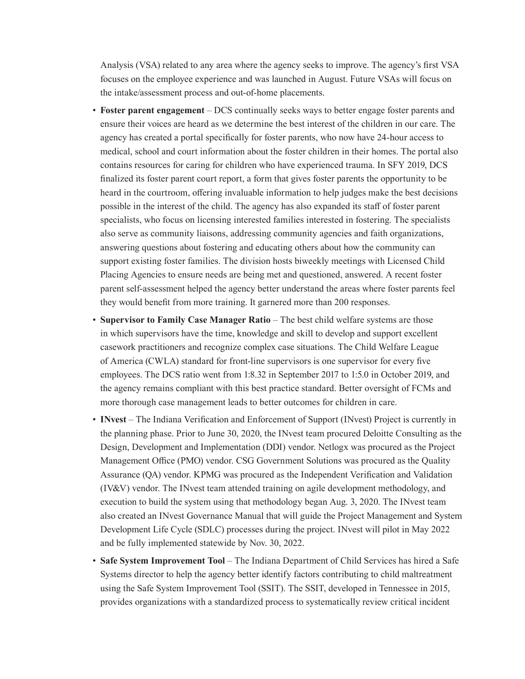Analysis (VSA) related to any area where the agency seeks to improve. The agency's first VSA focuses on the employee experience and was launched in August. Future VSAs will focus on the intake/assessment process and out-of-home placements.

- **Foster parent engagement** DCS continually seeks ways to better engage foster parents and ensure their voices are heard as we determine the best interest of the children in our care. The agency has created a portal specifically for foster parents, who now have 24-hour access to medical, school and court information about the foster children in their homes. The portal also contains resources for caring for children who have experienced trauma. In SFY 2019, DCS finalized its foster parent court report, a form that gives foster parents the opportunity to be heard in the courtroom, offering invaluable information to help judges make the best decisions possible in the interest of the child. The agency has also expanded its staff of foster parent specialists, who focus on licensing interested families interested in fostering. The specialists also serve as community liaisons, addressing community agencies and faith organizations, answering questions about fostering and educating others about how the community can support existing foster families. The division hosts biweekly meetings with Licensed Child Placing Agencies to ensure needs are being met and questioned, answered. A recent foster parent self-assessment helped the agency better understand the areas where foster parents feel they would benefit from more training. It garnered more than 200 responses.
- **Supervisor to Family Case Manager Ratio** The best child welfare systems are those in which supervisors have the time, knowledge and skill to develop and support excellent casework practitioners and recognize complex case situations. The Child Welfare League of America (CWLA) standard for front-line supervisors is one supervisor for every five employees. The DCS ratio went from 1:8.32 in September 2017 to 1:5.0 in October 2019, and the agency remains compliant with this best practice standard. Better oversight of FCMs and more thorough case management leads to better outcomes for children in care.
- **INvest** The Indiana Verification and Enforcement of Support (INvest) Project is currently in the planning phase. Prior to June 30, 2020, the INvest team procured Deloitte Consulting as the Design, Development and Implementation (DDI) vendor. Netlogx was procured as the Project Management Office (PMO) vendor. CSG Government Solutions was procured as the Quality Assurance (QA) vendor. KPMG was procured as the Independent Verification and Validation (IV&V) vendor. The INvest team attended training on agile development methodology, and execution to build the system using that methodology began Aug. 3, 2020. The INvest team also created an INvest Governance Manual that will guide the Project Management and System Development Life Cycle (SDLC) processes during the project. INvest will pilot in May 2022 and be fully implemented statewide by Nov. 30, 2022.
- **Safe System Improvement Tool** The Indiana Department of Child Services has hired a Safe Systems director to help the agency better identify factors contributing to child maltreatment using the Safe System Improvement Tool (SSIT). The SSIT, developed in Tennessee in 2015, provides organizations with a standardized process to systematically review critical incident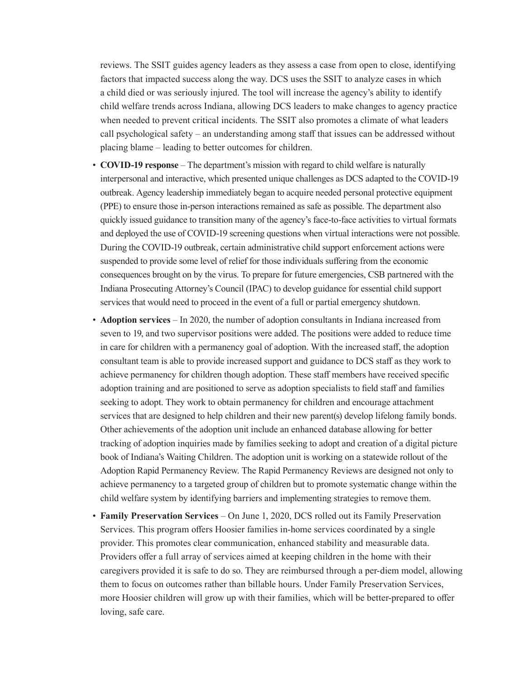reviews. The SSIT guides agency leaders as they assess a case from open to close, identifying factors that impacted success along the way. DCS uses the SSIT to analyze cases in which a child died or was seriously injured. The tool will increase the agency's ability to identify child welfare trends across Indiana, allowing DCS leaders to make changes to agency practice when needed to prevent critical incidents. The SSIT also promotes a climate of what leaders call psychological safety – an understanding among staff that issues can be addressed without placing blame – leading to better outcomes for children.

- **COVID-19 response** The department's mission with regard to child welfare is naturally interpersonal and interactive, which presented unique challenges as DCS adapted to the COVID-19 outbreak. Agency leadership immediately began to acquire needed personal protective equipment (PPE) to ensure those in-person interactions remained as safe as possible. The department also quickly issued guidance to transition many of the agency's face-to-face activities to virtual formats and deployed the use of COVID-19 screening questions when virtual interactions were not possible. During the COVID-19 outbreak, certain administrative child support enforcement actions were suspended to provide some level of relief for those individuals suffering from the economic consequences brought on by the virus. To prepare for future emergencies, CSB partnered with the Indiana Prosecuting Attorney's Council (IPAC) to develop guidance for essential child support services that would need to proceed in the event of a full or partial emergency shutdown.
- **Adoption services** In 2020, the number of adoption consultants in Indiana increased from seven to 19, and two supervisor positions were added. The positions were added to reduce time in care for children with a permanency goal of adoption. With the increased staff, the adoption consultant team is able to provide increased support and guidance to DCS staff as they work to achieve permanency for children though adoption. These staff members have received specific adoption training and are positioned to serve as adoption specialists to field staff and families seeking to adopt. They work to obtain permanency for children and encourage attachment services that are designed to help children and their new parent(s) develop lifelong family bonds. Other achievements of the adoption unit include an enhanced database allowing for better tracking of adoption inquiries made by families seeking to adopt and creation of a digital picture book of Indiana's Waiting Children. The adoption unit is working on a statewide rollout of the Adoption Rapid Permanency Review. The Rapid Permanency Reviews are designed not only to achieve permanency to a targeted group of children but to promote systematic change within the child welfare system by identifying barriers and implementing strategies to remove them.
- **Family Preservation Services** On June 1, 2020, DCS rolled out its Family Preservation Services. This program offers Hoosier families in-home services coordinated by a single provider. This promotes clear communication, enhanced stability and measurable data. Providers offer a full array of services aimed at keeping children in the home with their caregivers provided it is safe to do so. They are reimbursed through a per-diem model, allowing them to focus on outcomes rather than billable hours. Under Family Preservation Services, more Hoosier children will grow up with their families, which will be better-prepared to offer loving, safe care.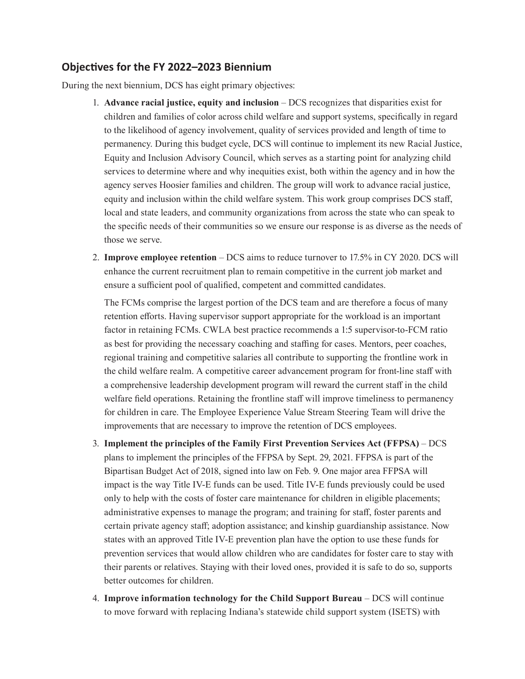## **Objectives for the FY 2022–2023 Biennium**

During the next biennium, DCS has eight primary objectives:

- 1. **Advance racial justice, equity and inclusion** DCS recognizes that disparities exist for children and families of color across child welfare and support systems, specifically in regard to the likelihood of agency involvement, quality of services provided and length of time to permanency. During this budget cycle, DCS will continue to implement its new Racial Justice, Equity and Inclusion Advisory Council, which serves as a starting point for analyzing child services to determine where and why inequities exist, both within the agency and in how the agency serves Hoosier families and children. The group will work to advance racial justice, equity and inclusion within the child welfare system. This work group comprises DCS staff, local and state leaders, and community organizations from across the state who can speak to the specific needs of their communities so we ensure our response is as diverse as the needs of those we serve.
- 2. **Improve employee retention** DCS aims to reduce turnover to 17.5% in CY 2020. DCS will enhance the current recruitment plan to remain competitive in the current job market and ensure a sufficient pool of qualified, competent and committed candidates.

The FCMs comprise the largest portion of the DCS team and are therefore a focus of many retention efforts. Having supervisor support appropriate for the workload is an important factor in retaining FCMs. CWLA best practice recommends a 1:5 supervisor-to-FCM ratio as best for providing the necessary coaching and staffing for cases. Mentors, peer coaches, regional training and competitive salaries all contribute to supporting the frontline work in the child welfare realm. A competitive career advancement program for front-line staff with a comprehensive leadership development program will reward the current staff in the child welfare field operations. Retaining the frontline staff will improve timeliness to permanency for children in care. The Employee Experience Value Stream Steering Team will drive the improvements that are necessary to improve the retention of DCS employees.

- 3. **Implement the principles of the Family First Prevention Services Act (FFPSA)** DCS plans to implement the principles of the FFPSA by Sept. 29, 2021. FFPSA is part of the Bipartisan Budget Act of 2018, signed into law on Feb. 9. One major area FFPSA will impact is the way Title IV-E funds can be used. Title IV-E funds previously could be used only to help with the costs of foster care maintenance for children in eligible placements; administrative expenses to manage the program; and training for staff, foster parents and certain private agency staff; adoption assistance; and kinship guardianship assistance. Now states with an approved Title IV-E prevention plan have the option to use these funds for prevention services that would allow children who are candidates for foster care to stay with their parents or relatives. Staying with their loved ones, provided it is safe to do so, supports better outcomes for children.
- 4. **Improve information technology for the Child Support Bureau** DCS will continue to move forward with replacing Indiana's statewide child support system (ISETS) with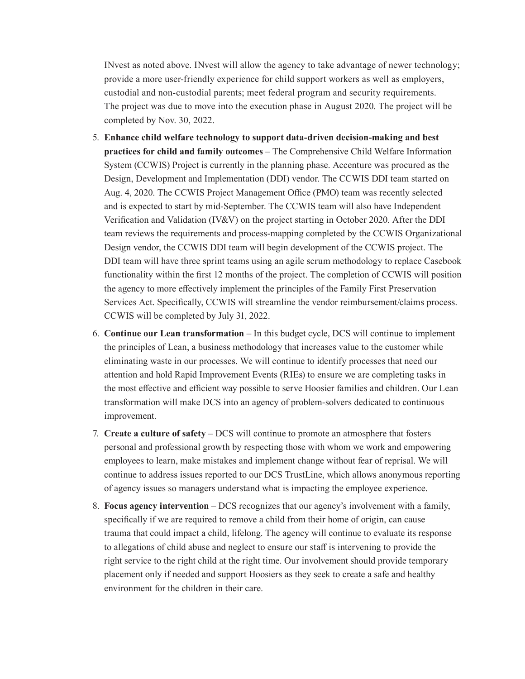INvest as noted above. INvest will allow the agency to take advantage of newer technology; provide a more user-friendly experience for child support workers as well as employers, custodial and non-custodial parents; meet federal program and security requirements. The project was due to move into the execution phase in August 2020. The project will be completed by Nov. 30, 2022.

- 5. **Enhance child welfare technology to support data-driven decision-making and best practices for child and family outcomes** – The Comprehensive Child Welfare Information System (CCWIS) Project is currently in the planning phase. Accenture was procured as the Design, Development and Implementation (DDI) vendor. The CCWIS DDI team started on Aug. 4, 2020. The CCWIS Project Management Office (PMO) team was recently selected and is expected to start by mid-September. The CCWIS team will also have Independent Verification and Validation (IV&V) on the project starting in October 2020. After the DDI team reviews the requirements and process-mapping completed by the CCWIS Organizational Design vendor, the CCWIS DDI team will begin development of the CCWIS project. The DDI team will have three sprint teams using an agile scrum methodology to replace Casebook functionality within the first 12 months of the project. The completion of CCWIS will position the agency to more effectively implement the principles of the Family First Preservation Services Act. Specifically, CCWIS will streamline the vendor reimbursement/claims process. CCWIS will be completed by July 31, 2022.
- 6. **Continue our Lean transformation** In this budget cycle, DCS will continue to implement the principles of Lean, a business methodology that increases value to the customer while eliminating waste in our processes. We will continue to identify processes that need our attention and hold Rapid Improvement Events (RIEs) to ensure we are completing tasks in the most effective and efficient way possible to serve Hoosier families and children. Our Lean transformation will make DCS into an agency of problem-solvers dedicated to continuous improvement.
- 7. **Create a culture of safety** DCS will continue to promote an atmosphere that fosters personal and professional growth by respecting those with whom we work and empowering employees to learn, make mistakes and implement change without fear of reprisal. We will continue to address issues reported to our DCS TrustLine, which allows anonymous reporting of agency issues so managers understand what is impacting the employee experience.
- 8. **Focus agency intervention** DCS recognizes that our agency's involvement with a family, specifically if we are required to remove a child from their home of origin, can cause trauma that could impact a child, lifelong. The agency will continue to evaluate its response to allegations of child abuse and neglect to ensure our staff is intervening to provide the right service to the right child at the right time. Our involvement should provide temporary placement only if needed and support Hoosiers as they seek to create a safe and healthy environment for the children in their care.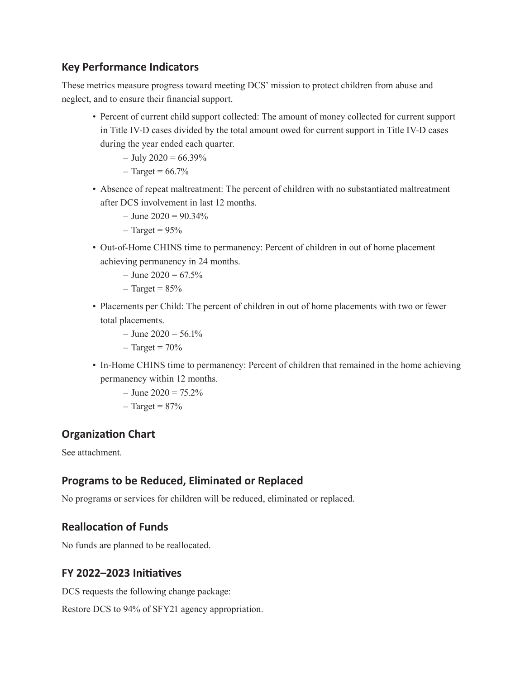# **Key Performance Indicators**

These metrics measure progress toward meeting DCS' mission to protect children from abuse and neglect, and to ensure their financial support.

• Percent of current child support collected: The amount of money collected for current support in Title IV-D cases divided by the total amount owed for current support in Title IV-D cases during the year ended each quarter.

```
- July 2020 = 66.39%
```
- $-$  Target = 66.7%
- Absence of repeat maltreatment: The percent of children with no substantiated maltreatment after DCS involvement in last 12 months.
	- $-$  June 2020 = 90.34%
	- $-$  Target = 95%
- Out-of-Home CHINS time to permanency: Percent of children in out of home placement achieving permanency in 24 months.
	- $-$  June 2020 = 67.5%
	- $-$  Target =  $85%$
- Placements per Child: The percent of children in out of home placements with two or fewer total placements.
	- $-$  June 2020 = 56.1%
	- $-$  Target =  $70\%$
- In-Home CHINS time to permanency: Percent of children that remained in the home achieving permanency within 12 months.
	- $-$  June 2020 = 75.2%
	- $-$  Target =  $87%$

# **Organization Chart**

See attachment.

# **Programs to be Reduced, Eliminated or Replaced**

No programs or services for children will be reduced, eliminated or replaced.

# **Reallocation of Funds**

No funds are planned to be reallocated.

# **FY 2022–2023 Initiatives**

DCS requests the following change package:

Restore DCS to 94% of SFY21 agency appropriation.